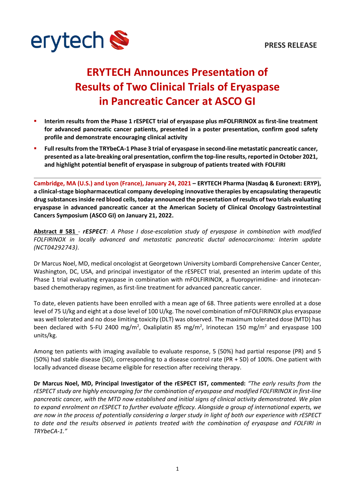

## **ERYTECH Announces Presentation of Results of Two Clinical Trials of Eryaspase in Pancreatic Cancer at ASCO GI**

- **Interim results from the Phase 1 rESPECT trial of eryaspase plus mFOLFIRINOX as first-line treatment for advanced pancreatic cancer patients, presented in a poster presentation, confirm good safety profile and demonstrate encouraging clinical activity**
- **Full results from the TRYbeCA-1 Phase 3 trial of eryaspase in second-line metastatic pancreatic cancer, presented as a late-breaking oral presentation, confirm the top-line results,reported in October 2021, and highlight potential benefit of eryaspase in subgroup of patients treated with FOLFIRI**

**Cambridge, MA (U.S.) and Lyon (France), January 24, 2021 – ERYTECH Pharma (Nasdaq & Euronext: ERYP), a clinical-stage biopharmaceutical company developing innovative therapies by encapsulating therapeutic drug substances inside red blood cells, today announced the presentation of results of two trials evaluating eryaspase in advanced pancreatic cancer at the American Society of Clinical Oncology Gastrointestinal Cancers Symposium (ASCO GI) on January 21, 2022.** 

**Abstract # 581** - *rESPECT: A Phase I dose-escalation study of eryaspase in combination with modified FOLFIRINOX in locally advanced and metastatic pancreatic ductal adenocarcinoma: Interim update (NCT04292743).*

Dr Marcus Noel, MD, medical oncologist at Georgetown University Lombardi Comprehensive Cancer Center, Washington, DC, USA, and principal investigator of the rESPECT trial, presented an interim update of this Phase 1 trial evaluating eryaspase in combination with mFOLFIRINOX, a fluoropyrimidine- and irinotecanbased chemotherapy regimen, as first-line treatment for advanced pancreatic cancer.

To date, eleven patients have been enrolled with a mean age of 68. Three patients were enrolled at a dose level of 75 U/kg and eight at a dose level of 100 U/kg. The novel combination of mFOLFIRINOX plus eryaspase was well tolerated and no dose limiting toxicity (DLT) was observed. The maximum tolerated dose (MTD) has been declared with 5-FU 2400 mg/m<sup>2</sup>, Oxaliplatin 85 mg/m<sup>2</sup>, Irinotecan 150 mg/m<sup>2</sup> and eryaspase 100 units/kg.

Among ten patients with imaging available to evaluate response, 5 (50%) had partial response (PR) and 5 (50%) had stable disease (SD), corresponding to a disease control rate (PR + SD) of 100%. One patient with locally advanced disease became eligible for resection after receiving therapy.

**Dr Marcus Noel, MD, Principal Investigator of the rESPECT IST, commented:** *"The early results from the rESPECT study are highly encouraging for the combination of eryaspase and modified FOLFIRINOX in first-line pancreatic cancer, with the MTD now established and initial signs of clinical activity demonstrated. We plan to expand enrolment on rESPECT to further evaluate efficacy. Alongside a group of international experts, we are now in the process of potentially considering a larger study in light of both our experience with rESPECT to date and the results observed in patients treated with the combination of eryaspase and FOLFIRI in TRYbeCA-1."*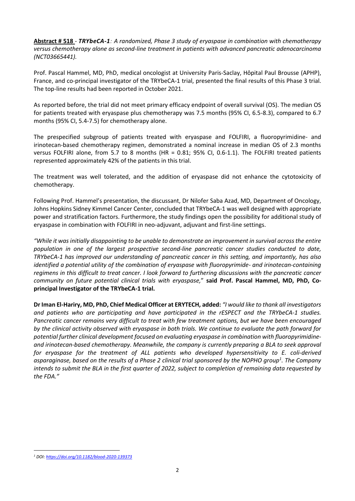**Abstract # 518** - *TRYbeCA-1: A randomized, Phase 3 study of eryaspase in combination with chemotherapy versus chemotherapy alone as second-line treatment in patients with advanced pancreatic adenocarcinoma (NCT03665441).*

Prof. Pascal Hammel, MD, PhD, medical oncologist at University Paris-Saclay, Hôpital Paul Brousse (APHP), France, and co-principal investigator of the TRYbeCA-1 trial, presented the final results of this Phase 3 trial. The top-line results had been reported in October 2021.

As reported before, the trial did not meet primary efficacy endpoint of overall survival (OS). The median OS for patients treated with eryaspase plus chemotherapy was 7.5 months (95% CI, 6.5-8.3), compared to 6.7 months (95% CI, 5.4-7.5) for chemotherapy alone.

The prespecified subgroup of patients treated with eryaspase and FOLFIRI, a fluoropyrimidine- and irinotecan-based chemotherapy regimen, demonstrated a nominal increase in median OS of 2.3 months versus FOLFIRI alone, from 5.7 to 8 months (HR = 0.81; 95% CI, 0.6-1.1). The FOLFIRI treated patients represented approximately 42% of the patients in this trial.

The treatment was well tolerated, and the addition of eryaspase did not enhance the cytotoxicity of chemotherapy.

Following Prof. Hammel's presentation, the discussant, Dr Nilofer Saba Azad, MD, Department of Oncology, Johns Hopkins Sidney Kimmel Cancer Center, concluded that TRYbeCA-1 was well designed with appropriate power and stratification factors. Furthermore, the study findings open the possibility for additional study of eryaspase in combination with FOLFIRI in neo-adjuvant, adjuvant and first-line settings.

*"While it was initially disappointing to be unable to demonstrate an improvement in survival across the entire population in one of the largest prospective second-line pancreatic cancer studies conducted to date, TRYbeCA-1 has improved our understanding of pancreatic cancer in this setting, and importantly, has also identified a potential utility of the combination of eryaspase with fluoropyrimide- and irinotecan-containing regimens in this difficult to treat cancer. I look forward to furthering discussions with the pancreatic cancer community on future potential clinical trials with eryaspase,*" **said Prof. Pascal Hammel, MD, PhD, Coprincipal Investigator of the TRYbeCA-1 trial.** 

**Dr Iman El-Hariry, MD, PhD, Chief Medical Officer at ERYTECH, added:** *"I would like to thank all investigators and patients who are participating and have participated in the rESPECT and the TRYbeCA-1 studies. Pancreatic cancer remains very difficult to treat with few treatment options, but we have been encouraged by the clinical activity observed with eryaspase in both trials. We continue to evaluate the path forward for potential further clinical development focused on evaluating eryaspase in combination with fluoropyrimidineand irinotecan-based chemotherapy. Meanwhile, the company is currently preparing a BLA to seek approval*  for eryaspase for the treatment of ALL patients who developed hypersensitivity to E. coli-derived *asparaginase, based on the results of a Phase 2 clinical trial sponsored by the NOPHO group<sup>1</sup> . The Company intends to submit the BLA in the first quarter of 2022, subject to completion of remaining data requested by the FDA."*

*<sup>1</sup> DOI: <https://doi.org/10.1182/blood-2020-139373>*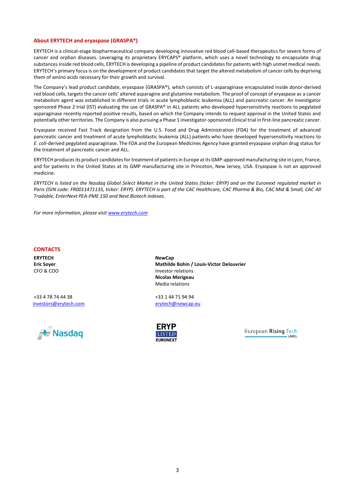## **About ERYTECH and eryaspase (GRASPA®)**

ERYTECH is a clinical-stage biopharmaceutical company developing innovative red blood cell-based therapeutics for severe forms of cancer and orphan diseases. Leveraging its proprietary ERYCAPS® platform, which uses a novel technology to encapsulate drug substances inside red blood cells, ERYTECH is developing a pipeline of product candidates for patients with high unmet medical needs. ERYTECH's primary focus is on the development of product candidates that target the altered metabolism of cancer cells by depriving them of amino acids necessary for their growth and survival.

The Company's lead product candidate, eryaspase (GRASPA®), which consists of L-asparaginase encapsulated inside donor-derived red blood cells, targets the cancer cells' altered asparagine and glutamine metabolism. The proof of concept of eryaspase as a cancer metabolism agent was established in different trials in acute lymphoblastic leukemia (ALL) and pancreatic cancer. An investigator sponsored Phase 2 trial (IST) evaluating the use of GRASPA® in ALL patients who developed hypersensitivity reactions to pegylated asparaginase recently reported positive results, based on which the Company intends to request approval in the United States and potentially other territories. The Company is also pursuing a Phase 1 investigator-sponsored clinical trial in first-line pancreatic cancer.

Eryaspase received Fast Track designation from the U.S. Food and Drug Administration (FDA) for the treatment of advanced pancreatic cancer and treatment of acute lymphoblastic leukemia (ALL) patients who have developed hypersensitivity reactions to *E. coli*-derived pegylated asparaginase. The FDA and the European Medicines Agency have granted eryaspase orphan drug status for the treatment of pancreatic cancer and ALL.

ERYTECH produces its product candidates for treatment of patients in Europe at its GMP-approved manufacturing site in Lyon, France, and for patients in the United States at its GMP manufacturing site in Princeton, New Jersey, USA. Eryaspase is not an approved medicine.

*ERYTECH is listed on the Nasdaq Global Select Market in the United States (ticker: ERYP) and on the Euronext regulated market in Paris (ISIN code: FR0011471135, ticker: ERYP). ERYTECH is part of the CAC Healthcare, CAC Pharma & Bio, CAC Mid & Small, CAC All Tradable, EnterNext PEA-PME 150 and Next Biotech indexes.*

*For more information, please visi[t www.erytech.com](http://www.erytech.com/)*

## **CONTACTS**

**ERYTECH Eric Soyer** CFO & COO

+33 4 78 74 44 38 [investors@erytech.com](mailto:investors@erytech.com)



**NewCap Mathilde Bohin / Louis-Victor Delouvrier** Investor relations **Nicolas Merigeau** Media relations

+33 1 44 71 94 94 [erytech@newcap.eu](mailto:erytech@newcap.eu)



European Rising Tech LABEL